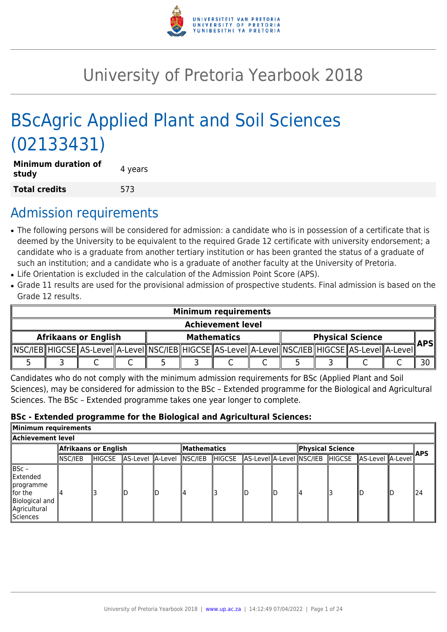

# University of Pretoria Yearbook 2018

# BScAgric Applied Plant and Soil Sciences (02133431)

| <b>Minimum duration of</b><br>study | 4 years |
|-------------------------------------|---------|
| <b>Total credits</b>                | 573     |

## Admission requirements

- The following persons will be considered for admission: a candidate who is in possession of a certificate that is deemed by the University to be equivalent to the required Grade 12 certificate with university endorsement; a candidate who is a graduate from another tertiary institution or has been granted the status of a graduate of such an institution; and a candidate who is a graduate of another faculty at the University of Pretoria.
- Life Orientation is excluded in the calculation of the Admission Point Score (APS).
- Grade 11 results are used for the provisional admission of prospective students. Final admission is based on the Grade 12 results.

|                             | <b>Minimum requirements</b> |  |  |  |  |                                                                                                            |  |                         |            |
|-----------------------------|-----------------------------|--|--|--|--|------------------------------------------------------------------------------------------------------------|--|-------------------------|------------|
|                             | <b>Achievement level</b>    |  |  |  |  |                                                                                                            |  |                         |            |
| <b>Afrikaans or English</b> |                             |  |  |  |  | <b>Mathematics</b>                                                                                         |  | <b>Physical Science</b> | <b>APS</b> |
|                             |                             |  |  |  |  | NSC/IEB  HIGCSE  AS-Level  A-Level  NSC/IEB  HIGCSE  AS-Level  A-Level  NSC/IEB  HIGCSE  AS-Level  A-Level |  |                         |            |
|                             |                             |  |  |  |  |                                                                                                            |  |                         | 30         |

Candidates who do not comply with the minimum admission requirements for BSc (Applied Plant and Soil Sciences), may be considered for admission to the BSc – Extended programme for the Biological and Agricultural Sciences. The BSc – Extended programme takes one year longer to complete.

#### **BSc - Extended programme for the Biological and Agricultural Sciences:**

| Minimum requirements                                                                                    |                      |        |                          |  |                    |               |                  |     |                                 |                  |      |     |
|---------------------------------------------------------------------------------------------------------|----------------------|--------|--------------------------|--|--------------------|---------------|------------------|-----|---------------------------------|------------------|------|-----|
| Achievement level                                                                                       |                      |        |                          |  |                    |               |                  |     |                                 |                  |      |     |
|                                                                                                         | Afrikaans or English |        |                          |  | <b>Mathematics</b> |               | Physical Science |     |                                 |                  | ∦APS |     |
|                                                                                                         | INSC/IEB             | HIGCSE | AS-Level A-Level NSC/IEB |  |                    | <b>HIGCSE</b> |                  |     | AS-Level A-Level NSC/IEB HIGCSE | AS-Level A-Level |      |     |
| $ BSC -$<br>Extended<br><i>s</i> programme<br>llfor the<br>Biological and<br>Agricultural<br>llSciences |                      |        |                          |  | ll4                |               |                  | llD | 14                              |                  |      | 124 |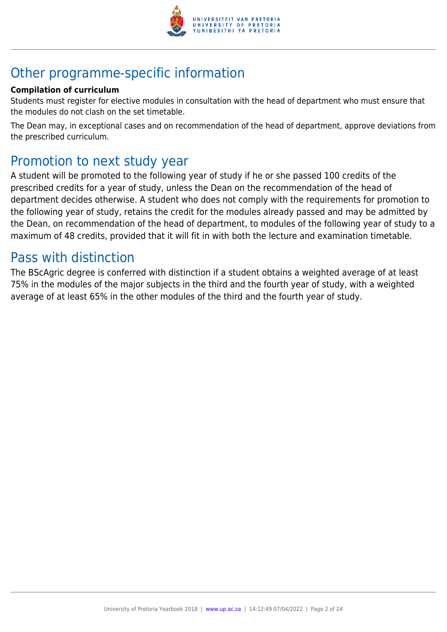

## Other programme-specific information

## **Compilation of curriculum**

Students must register for elective modules in consultation with the head of department who must ensure that the modules do not clash on the set timetable.

The Dean may, in exceptional cases and on recommendation of the head of department, approve deviations from the prescribed curriculum.

## Promotion to next study year

A student will be promoted to the following year of study if he or she passed 100 credits of the prescribed credits for a year of study, unless the Dean on the recommendation of the head of department decides otherwise. A student who does not comply with the requirements for promotion to the following year of study, retains the credit for the modules already passed and may be admitted by the Dean, on recommendation of the head of department, to modules of the following year of study to a maximum of 48 credits, provided that it will fit in with both the lecture and examination timetable.

## Pass with distinction

The BScAgric degree is conferred with distinction if a student obtains a weighted average of at least 75% in the modules of the major subjects in the third and the fourth year of study, with a weighted average of at least 65% in the other modules of the third and the fourth year of study.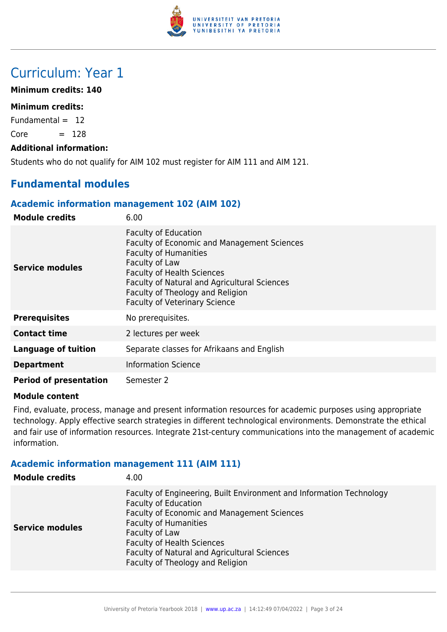

## Curriculum: Year 1

## **Minimum credits: 140**

## **Minimum credits:**

Fundamental  $= 12$ 

 $Core = 128$ 

### **Additional information:**

Students who do not qualify for AIM 102 must register for AIM 111 and AIM 121.

## **Fundamental modules**

## **Academic information management 102 (AIM 102)**

| <b>Module credits</b>         | 6.00                                                                                                                                                                                                                                                                                          |
|-------------------------------|-----------------------------------------------------------------------------------------------------------------------------------------------------------------------------------------------------------------------------------------------------------------------------------------------|
| Service modules               | <b>Faculty of Education</b><br>Faculty of Economic and Management Sciences<br><b>Faculty of Humanities</b><br>Faculty of Law<br><b>Faculty of Health Sciences</b><br>Faculty of Natural and Agricultural Sciences<br>Faculty of Theology and Religion<br><b>Faculty of Veterinary Science</b> |
| <b>Prerequisites</b>          | No prerequisites.                                                                                                                                                                                                                                                                             |
| <b>Contact time</b>           | 2 lectures per week                                                                                                                                                                                                                                                                           |
| <b>Language of tuition</b>    | Separate classes for Afrikaans and English                                                                                                                                                                                                                                                    |
| <b>Department</b>             | <b>Information Science</b>                                                                                                                                                                                                                                                                    |
| <b>Period of presentation</b> | Semester 2                                                                                                                                                                                                                                                                                    |

#### **Module content**

Find, evaluate, process, manage and present information resources for academic purposes using appropriate technology. Apply effective search strategies in different technological environments. Demonstrate the ethical and fair use of information resources. Integrate 21st-century communications into the management of academic information.

## **Academic information management 111 (AIM 111)**

| <b>Module credits</b>  | 4.00                                                                                                                                                                                                                                                                                                                          |
|------------------------|-------------------------------------------------------------------------------------------------------------------------------------------------------------------------------------------------------------------------------------------------------------------------------------------------------------------------------|
| <b>Service modules</b> | Faculty of Engineering, Built Environment and Information Technology<br><b>Faculty of Education</b><br>Faculty of Economic and Management Sciences<br><b>Faculty of Humanities</b><br>Faculty of Law<br><b>Faculty of Health Sciences</b><br>Faculty of Natural and Agricultural Sciences<br>Faculty of Theology and Religion |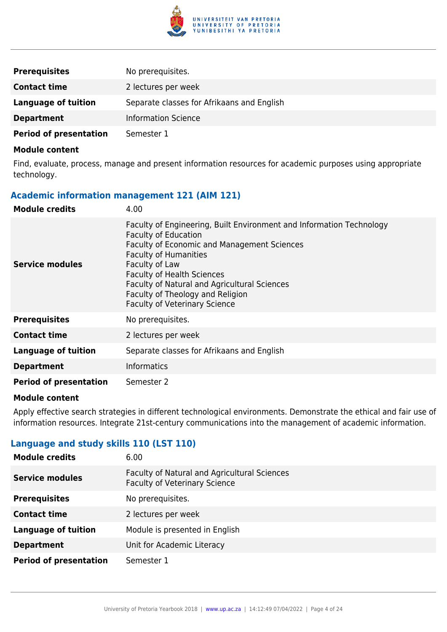

| <b>Prerequisites</b>          | No prerequisites.                          |
|-------------------------------|--------------------------------------------|
| <b>Contact time</b>           | 2 lectures per week                        |
| Language of tuition           | Separate classes for Afrikaans and English |
| <b>Department</b>             | <b>Information Science</b>                 |
| <b>Period of presentation</b> | Semester 1                                 |

Find, evaluate, process, manage and present information resources for academic purposes using appropriate technology.

## **Academic information management 121 (AIM 121)**

| <b>Module credits</b>         | 4.00                                                                                                                                                                                                                                                                                                                                                                  |
|-------------------------------|-----------------------------------------------------------------------------------------------------------------------------------------------------------------------------------------------------------------------------------------------------------------------------------------------------------------------------------------------------------------------|
| Service modules               | Faculty of Engineering, Built Environment and Information Technology<br><b>Faculty of Education</b><br>Faculty of Economic and Management Sciences<br><b>Faculty of Humanities</b><br>Faculty of Law<br><b>Faculty of Health Sciences</b><br>Faculty of Natural and Agricultural Sciences<br>Faculty of Theology and Religion<br><b>Faculty of Veterinary Science</b> |
| <b>Prerequisites</b>          | No prerequisites.                                                                                                                                                                                                                                                                                                                                                     |
| <b>Contact time</b>           | 2 lectures per week                                                                                                                                                                                                                                                                                                                                                   |
| <b>Language of tuition</b>    | Separate classes for Afrikaans and English                                                                                                                                                                                                                                                                                                                            |
| <b>Department</b>             | <b>Informatics</b>                                                                                                                                                                                                                                                                                                                                                    |
| <b>Period of presentation</b> | Semester 2                                                                                                                                                                                                                                                                                                                                                            |

#### **Module content**

Apply effective search strategies in different technological environments. Demonstrate the ethical and fair use of information resources. Integrate 21st-century communications into the management of academic information.

## **Language and study skills 110 (LST 110)**

| <b>Module credits</b>         | 6.00                                                                                 |
|-------------------------------|--------------------------------------------------------------------------------------|
| <b>Service modules</b>        | Faculty of Natural and Agricultural Sciences<br><b>Faculty of Veterinary Science</b> |
| <b>Prerequisites</b>          | No prerequisites.                                                                    |
| <b>Contact time</b>           | 2 lectures per week                                                                  |
| <b>Language of tuition</b>    | Module is presented in English                                                       |
| <b>Department</b>             | Unit for Academic Literacy                                                           |
| <b>Period of presentation</b> | Semester 1                                                                           |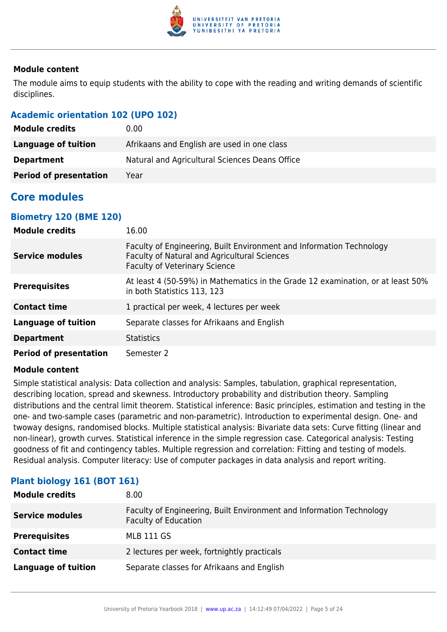

The module aims to equip students with the ability to cope with the reading and writing demands of scientific disciplines.

## **Academic orientation 102 (UPO 102)**

| <b>Module credits</b>         | 0.00                                           |
|-------------------------------|------------------------------------------------|
| Language of tuition           | Afrikaans and English are used in one class    |
| <b>Department</b>             | Natural and Agricultural Sciences Deans Office |
| <b>Period of presentation</b> | Year                                           |

## **Core modules**

## **Biometry 120 (BME 120)**

| <b>Module credits</b>         | 16.00                                                                                                                                                        |
|-------------------------------|--------------------------------------------------------------------------------------------------------------------------------------------------------------|
| <b>Service modules</b>        | Faculty of Engineering, Built Environment and Information Technology<br>Faculty of Natural and Agricultural Sciences<br><b>Faculty of Veterinary Science</b> |
| <b>Prerequisites</b>          | At least 4 (50-59%) in Mathematics in the Grade 12 examination, or at least 50%<br>in both Statistics 113, 123                                               |
| <b>Contact time</b>           | 1 practical per week, 4 lectures per week                                                                                                                    |
| <b>Language of tuition</b>    | Separate classes for Afrikaans and English                                                                                                                   |
| <b>Department</b>             | <b>Statistics</b>                                                                                                                                            |
| <b>Period of presentation</b> | Semester 2                                                                                                                                                   |

## **Module content**

Simple statistical analysis: Data collection and analysis: Samples, tabulation, graphical representation, describing location, spread and skewness. Introductory probability and distribution theory. Sampling distributions and the central limit theorem. Statistical inference: Basic principles, estimation and testing in the one- and two-sample cases (parametric and non-parametric). Introduction to experimental design. One- and twoway designs, randomised blocks. Multiple statistical analysis: Bivariate data sets: Curve fitting (linear and non-linear), growth curves. Statistical inference in the simple regression case. Categorical analysis: Testing goodness of fit and contingency tables. Multiple regression and correlation: Fitting and testing of models. Residual analysis. Computer literacy: Use of computer packages in data analysis and report writing.

| <b>Module credits</b>      | 8.00                                                                                                |
|----------------------------|-----------------------------------------------------------------------------------------------------|
| <b>Service modules</b>     | Faculty of Engineering, Built Environment and Information Technology<br><b>Faculty of Education</b> |
| <b>Prerequisites</b>       | <b>MLB 111 GS</b>                                                                                   |
| <b>Contact time</b>        | 2 lectures per week, fortnightly practicals                                                         |
| <b>Language of tuition</b> | Separate classes for Afrikaans and English                                                          |

## **Plant biology 161 (BOT 161)**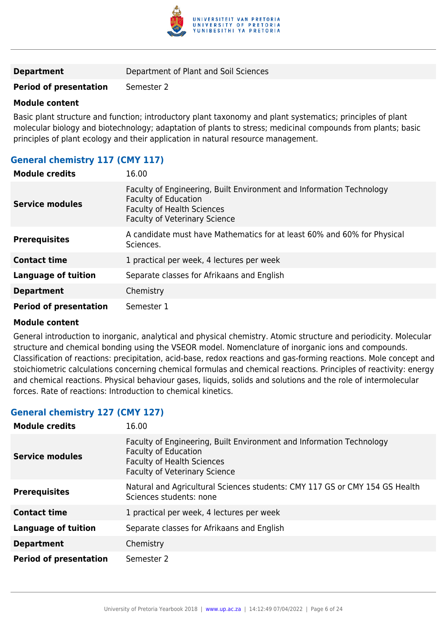

**Period of presentation** Semester 2

#### **Module content**

Basic plant structure and function; introductory plant taxonomy and plant systematics; principles of plant molecular biology and biotechnology; adaptation of plants to stress; medicinal compounds from plants; basic principles of plant ecology and their application in natural resource management.

## **General chemistry 117 (CMY 117)**

| <b>Module credits</b>         | 16.00                                                                                                                                                                            |
|-------------------------------|----------------------------------------------------------------------------------------------------------------------------------------------------------------------------------|
| <b>Service modules</b>        | Faculty of Engineering, Built Environment and Information Technology<br><b>Faculty of Education</b><br><b>Faculty of Health Sciences</b><br><b>Faculty of Veterinary Science</b> |
| <b>Prerequisites</b>          | A candidate must have Mathematics for at least 60% and 60% for Physical<br>Sciences.                                                                                             |
| <b>Contact time</b>           | 1 practical per week, 4 lectures per week                                                                                                                                        |
| <b>Language of tuition</b>    | Separate classes for Afrikaans and English                                                                                                                                       |
| <b>Department</b>             | Chemistry                                                                                                                                                                        |
| <b>Period of presentation</b> | Semester 1                                                                                                                                                                       |

## **Module content**

General introduction to inorganic, analytical and physical chemistry. Atomic structure and periodicity. Molecular structure and chemical bonding using the VSEOR model. Nomenclature of inorganic ions and compounds. Classification of reactions: precipitation, acid-base, redox reactions and gas-forming reactions. Mole concept and stoichiometric calculations concerning chemical formulas and chemical reactions. Principles of reactivity: energy and chemical reactions. Physical behaviour gases, liquids, solids and solutions and the role of intermolecular forces. Rate of reactions: Introduction to chemical kinetics.

## **General chemistry 127 (CMY 127)**

| <b>Module credits</b>         | 16.00                                                                                                                                                                     |
|-------------------------------|---------------------------------------------------------------------------------------------------------------------------------------------------------------------------|
| <b>Service modules</b>        | Faculty of Engineering, Built Environment and Information Technology<br><b>Faculty of Education</b><br><b>Faculty of Health Sciences</b><br>Faculty of Veterinary Science |
| <b>Prerequisites</b>          | Natural and Agricultural Sciences students: CMY 117 GS or CMY 154 GS Health<br>Sciences students: none                                                                    |
| <b>Contact time</b>           | 1 practical per week, 4 lectures per week                                                                                                                                 |
| <b>Language of tuition</b>    | Separate classes for Afrikaans and English                                                                                                                                |
| <b>Department</b>             | Chemistry                                                                                                                                                                 |
| <b>Period of presentation</b> | Semester 2                                                                                                                                                                |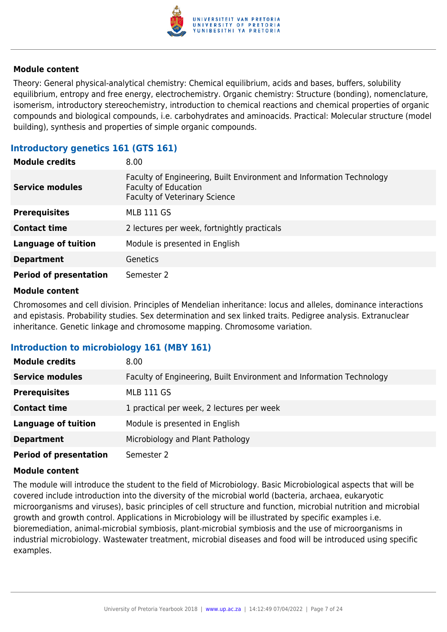

Theory: General physical-analytical chemistry: Chemical equilibrium, acids and bases, buffers, solubility equilibrium, entropy and free energy, electrochemistry. Organic chemistry: Structure (bonding), nomenclature, isomerism, introductory stereochemistry, introduction to chemical reactions and chemical properties of organic compounds and biological compounds, i.e. carbohydrates and aminoacids. Practical: Molecular structure (model building), synthesis and properties of simple organic compounds.

## **Introductory genetics 161 (GTS 161)**

| <b>Module credits</b>         | 8.00                                                                                                                                        |
|-------------------------------|---------------------------------------------------------------------------------------------------------------------------------------------|
| <b>Service modules</b>        | Faculty of Engineering, Built Environment and Information Technology<br><b>Faculty of Education</b><br><b>Faculty of Veterinary Science</b> |
| <b>Prerequisites</b>          | <b>MLB 111 GS</b>                                                                                                                           |
| <b>Contact time</b>           | 2 lectures per week, fortnightly practicals                                                                                                 |
| <b>Language of tuition</b>    | Module is presented in English                                                                                                              |
| <b>Department</b>             | <b>Genetics</b>                                                                                                                             |
| <b>Period of presentation</b> | Semester 2                                                                                                                                  |

#### **Module content**

Chromosomes and cell division. Principles of Mendelian inheritance: locus and alleles, dominance interactions and epistasis. Probability studies. Sex determination and sex linked traits. Pedigree analysis. Extranuclear inheritance. Genetic linkage and chromosome mapping. Chromosome variation.

## **Introduction to microbiology 161 (MBY 161)**

| <b>Module credits</b>         | 8.00                                                                 |
|-------------------------------|----------------------------------------------------------------------|
| <b>Service modules</b>        | Faculty of Engineering, Built Environment and Information Technology |
| <b>Prerequisites</b>          | <b>MLB 111 GS</b>                                                    |
| <b>Contact time</b>           | 1 practical per week, 2 lectures per week                            |
| <b>Language of tuition</b>    | Module is presented in English                                       |
| <b>Department</b>             | Microbiology and Plant Pathology                                     |
| <b>Period of presentation</b> | Semester 2                                                           |

#### **Module content**

The module will introduce the student to the field of Microbiology. Basic Microbiological aspects that will be covered include introduction into the diversity of the microbial world (bacteria, archaea, eukaryotic microorganisms and viruses), basic principles of cell structure and function, microbial nutrition and microbial growth and growth control. Applications in Microbiology will be illustrated by specific examples i.e. bioremediation, animal-microbial symbiosis, plant-microbial symbiosis and the use of microorganisms in industrial microbiology. Wastewater treatment, microbial diseases and food will be introduced using specific examples.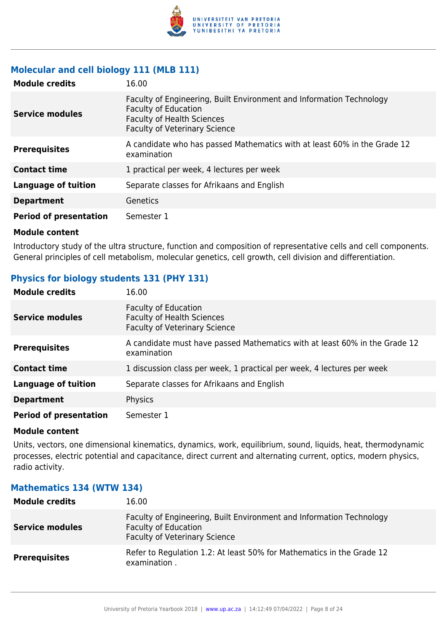

## **Molecular and cell biology 111 (MLB 111)**

| <b>Module credits</b>         | 16.00                                                                                                                                                                            |
|-------------------------------|----------------------------------------------------------------------------------------------------------------------------------------------------------------------------------|
| <b>Service modules</b>        | Faculty of Engineering, Built Environment and Information Technology<br><b>Faculty of Education</b><br><b>Faculty of Health Sciences</b><br><b>Faculty of Veterinary Science</b> |
| <b>Prerequisites</b>          | A candidate who has passed Mathematics with at least 60% in the Grade 12<br>examination                                                                                          |
| <b>Contact time</b>           | 1 practical per week, 4 lectures per week                                                                                                                                        |
| <b>Language of tuition</b>    | Separate classes for Afrikaans and English                                                                                                                                       |
| <b>Department</b>             | Genetics                                                                                                                                                                         |
| <b>Period of presentation</b> | Semester 1                                                                                                                                                                       |

#### **Module content**

Introductory study of the ultra structure, function and composition of representative cells and cell components. General principles of cell metabolism, molecular genetics, cell growth, cell division and differentiation.

## **Physics for biology students 131 (PHY 131)**

| <b>Module credits</b>         | 16.00                                                                                                    |
|-------------------------------|----------------------------------------------------------------------------------------------------------|
| <b>Service modules</b>        | <b>Faculty of Education</b><br><b>Faculty of Health Sciences</b><br><b>Faculty of Veterinary Science</b> |
| <b>Prerequisites</b>          | A candidate must have passed Mathematics with at least 60% in the Grade 12<br>examination                |
| <b>Contact time</b>           | 1 discussion class per week, 1 practical per week, 4 lectures per week                                   |
| <b>Language of tuition</b>    | Separate classes for Afrikaans and English                                                               |
| <b>Department</b>             | Physics                                                                                                  |
| <b>Period of presentation</b> | Semester 1                                                                                               |

#### **Module content**

Units, vectors, one dimensional kinematics, dynamics, work, equilibrium, sound, liquids, heat, thermodynamic processes, electric potential and capacitance, direct current and alternating current, optics, modern physics, radio activity.

## **Mathematics 134 (WTW 134) Module credits** 16.00

| <b>Module credits</b>  | 16.UU                                                                                                                                       |
|------------------------|---------------------------------------------------------------------------------------------------------------------------------------------|
| <b>Service modules</b> | Faculty of Engineering, Built Environment and Information Technology<br><b>Faculty of Education</b><br><b>Faculty of Veterinary Science</b> |
| <b>Prerequisites</b>   | Refer to Regulation 1.2: At least 50% for Mathematics in the Grade 12<br>examination.                                                       |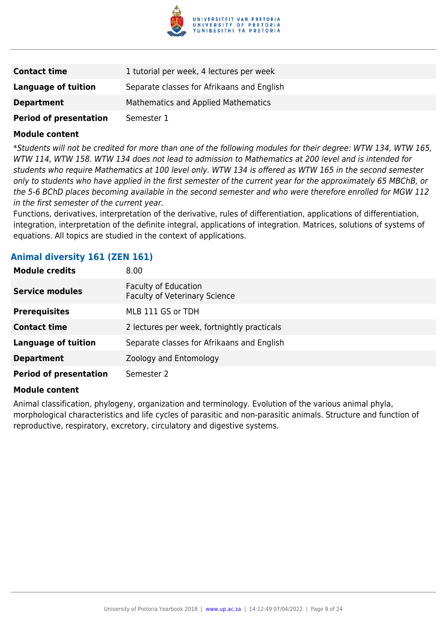

| <b>Contact time</b>           | 1 tutorial per week, 4 lectures per week   |
|-------------------------------|--------------------------------------------|
| Language of tuition           | Separate classes for Afrikaans and English |
| <b>Department</b>             | Mathematics and Applied Mathematics        |
| <b>Period of presentation</b> | Semester 1                                 |

\*Students will not be credited for more than one of the following modules for their degree: WTW 134, WTW 165, WTW 114, WTW 158. WTW 134 does not lead to admission to Mathematics at 200 level and is intended for students who require Mathematics at 100 level only. WTW 134 is offered as WTW 165 in the second semester only to students who have applied in the first semester of the current year for the approximately 65 MBChB, or the 5-6 BChD places becoming available in the second semester and who were therefore enrolled for MGW 112 in the first semester of the current year.

Functions, derivatives, interpretation of the derivative, rules of differentiation, applications of differentiation, integration, interpretation of the definite integral, applications of integration. Matrices, solutions of systems of equations. All topics are studied in the context of applications.

## **Animal diversity 161 (ZEN 161)**

| <b>Module credits</b>         | 8.00                                                         |
|-------------------------------|--------------------------------------------------------------|
| <b>Service modules</b>        | Faculty of Education<br><b>Faculty of Veterinary Science</b> |
| <b>Prerequisites</b>          | MLB 111 GS or TDH                                            |
| <b>Contact time</b>           | 2 lectures per week, fortnightly practicals                  |
| <b>Language of tuition</b>    | Separate classes for Afrikaans and English                   |
| <b>Department</b>             | Zoology and Entomology                                       |
| <b>Period of presentation</b> | Semester 2                                                   |

#### **Module content**

Animal classification, phylogeny, organization and terminology. Evolution of the various animal phyla, morphological characteristics and life cycles of parasitic and non-parasitic animals. Structure and function of reproductive, respiratory, excretory, circulatory and digestive systems.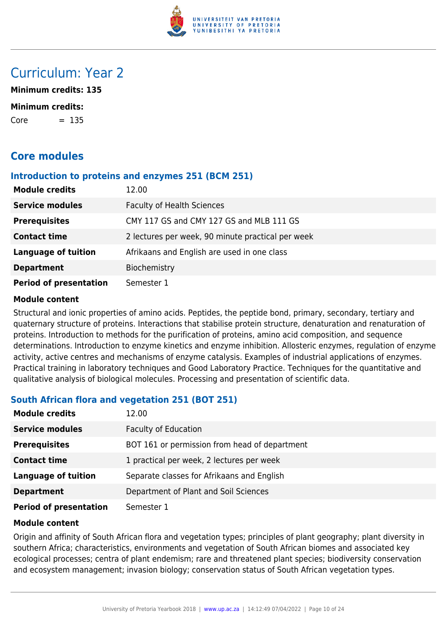

## Curriculum: Year 2

**Minimum credits: 135**

#### **Minimum credits:**

 $Core = 135$ 

## **Core modules**

#### **Introduction to proteins and enzymes 251 (BCM 251)**

| <b>Module credits</b>         | 12.00                                             |
|-------------------------------|---------------------------------------------------|
| <b>Service modules</b>        | <b>Faculty of Health Sciences</b>                 |
| <b>Prerequisites</b>          | CMY 117 GS and CMY 127 GS and MLB 111 GS          |
| <b>Contact time</b>           | 2 lectures per week, 90 minute practical per week |
| <b>Language of tuition</b>    | Afrikaans and English are used in one class       |
| <b>Department</b>             | Biochemistry                                      |
| <b>Period of presentation</b> | Semester 1                                        |

#### **Module content**

Structural and ionic properties of amino acids. Peptides, the peptide bond, primary, secondary, tertiary and quaternary structure of proteins. Interactions that stabilise protein structure, denaturation and renaturation of proteins. Introduction to methods for the purification of proteins, amino acid composition, and sequence determinations. Introduction to enzyme kinetics and enzyme inhibition. Allosteric enzymes, regulation of enzyme activity, active centres and mechanisms of enzyme catalysis. Examples of industrial applications of enzymes. Practical training in laboratory techniques and Good Laboratory Practice. Techniques for the quantitative and qualitative analysis of biological molecules. Processing and presentation of scientific data.

## **South African flora and vegetation 251 (BOT 251)**

| <b>Module credits</b>         | 12.00                                         |
|-------------------------------|-----------------------------------------------|
| <b>Service modules</b>        | <b>Faculty of Education</b>                   |
| <b>Prerequisites</b>          | BOT 161 or permission from head of department |
| <b>Contact time</b>           | 1 practical per week, 2 lectures per week     |
| <b>Language of tuition</b>    | Separate classes for Afrikaans and English    |
| <b>Department</b>             | Department of Plant and Soil Sciences         |
| <b>Period of presentation</b> | Semester 1                                    |

## **Module content**

Origin and affinity of South African flora and vegetation types; principles of plant geography; plant diversity in southern Africa; characteristics, environments and vegetation of South African biomes and associated key ecological processes; centra of plant endemism; rare and threatened plant species; biodiversity conservation and ecosystem management; invasion biology; conservation status of South African vegetation types.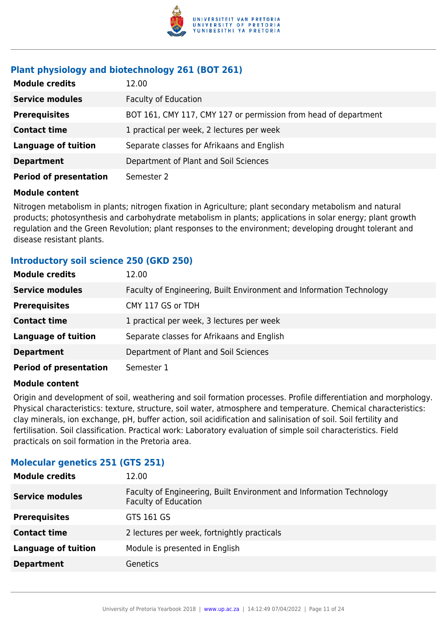

## **Plant physiology and biotechnology 261 (BOT 261)**

| <b>Module credits</b>         | 12.00                                                           |
|-------------------------------|-----------------------------------------------------------------|
| <b>Service modules</b>        | <b>Faculty of Education</b>                                     |
| <b>Prerequisites</b>          | BOT 161, CMY 117, CMY 127 or permission from head of department |
| <b>Contact time</b>           | 1 practical per week, 2 lectures per week                       |
| <b>Language of tuition</b>    | Separate classes for Afrikaans and English                      |
| <b>Department</b>             | Department of Plant and Soil Sciences                           |
| <b>Period of presentation</b> | Semester 2                                                      |

## **Module content**

Nitrogen metabolism in plants; nitrogen fixation in Agriculture; plant secondary metabolism and natural products; photosynthesis and carbohydrate metabolism in plants; applications in solar energy; plant growth regulation and the Green Revolution; plant responses to the environment; developing drought tolerant and disease resistant plants.

## **Introductory soil science 250 (GKD 250)**

| <b>Module credits</b>         | 12.00                                                                |
|-------------------------------|----------------------------------------------------------------------|
| <b>Service modules</b>        | Faculty of Engineering, Built Environment and Information Technology |
| <b>Prerequisites</b>          | CMY 117 GS or TDH                                                    |
| <b>Contact time</b>           | 1 practical per week, 3 lectures per week                            |
| <b>Language of tuition</b>    | Separate classes for Afrikaans and English                           |
| <b>Department</b>             | Department of Plant and Soil Sciences                                |
| <b>Period of presentation</b> | Semester 1                                                           |

## **Module content**

Origin and development of soil, weathering and soil formation processes. Profile differentiation and morphology. Physical characteristics: texture, structure, soil water, atmosphere and temperature. Chemical characteristics: clay minerals, ion exchange, pH, buffer action, soil acidification and salinisation of soil. Soil fertility and fertilisation. Soil classification. Practical work: Laboratory evaluation of simple soil characteristics. Field practicals on soil formation in the Pretoria area.

## **Molecular genetics 251 (GTS 251)**

| <b>Module credits</b>      | 12.00                                                                                               |
|----------------------------|-----------------------------------------------------------------------------------------------------|
| <b>Service modules</b>     | Faculty of Engineering, Built Environment and Information Technology<br><b>Faculty of Education</b> |
| <b>Prerequisites</b>       | GTS 161 GS                                                                                          |
| <b>Contact time</b>        | 2 lectures per week, fortnightly practicals                                                         |
| <b>Language of tuition</b> | Module is presented in English                                                                      |
| <b>Department</b>          | <b>Genetics</b>                                                                                     |
|                            |                                                                                                     |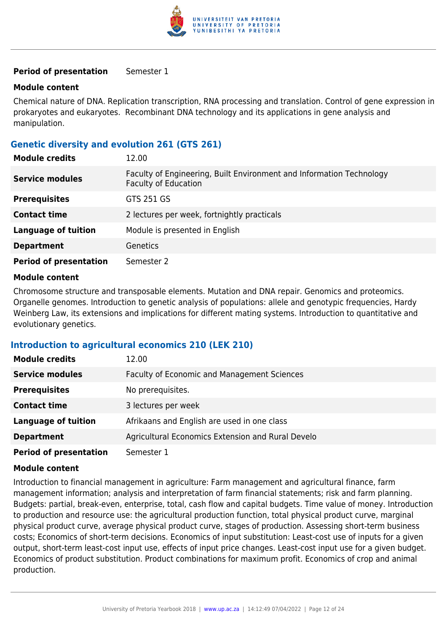

#### **Period of presentation** Semester 1

#### **Module content**

Chemical nature of DNA. Replication transcription, RNA processing and translation. Control of gene expression in prokaryotes and eukaryotes. Recombinant DNA technology and its applications in gene analysis and manipulation.

## **Genetic diversity and evolution 261 (GTS 261)**

| <b>Module credits</b>         | 12.00                                                                                               |
|-------------------------------|-----------------------------------------------------------------------------------------------------|
| <b>Service modules</b>        | Faculty of Engineering, Built Environment and Information Technology<br><b>Faculty of Education</b> |
| <b>Prerequisites</b>          | GTS 251 GS                                                                                          |
| <b>Contact time</b>           | 2 lectures per week, fortnightly practicals                                                         |
| <b>Language of tuition</b>    | Module is presented in English                                                                      |
| <b>Department</b>             | Genetics                                                                                            |
| <b>Period of presentation</b> | Semester 2                                                                                          |

#### **Module content**

Chromosome structure and transposable elements. Mutation and DNA repair. Genomics and proteomics. Organelle genomes. Introduction to genetic analysis of populations: allele and genotypic frequencies, Hardy Weinberg Law, its extensions and implications for different mating systems. Introduction to quantitative and evolutionary genetics.

#### **Introduction to agricultural economics 210 (LEK 210)**

| <b>Module credits</b>         | 12.00                                              |
|-------------------------------|----------------------------------------------------|
| <b>Service modules</b>        | <b>Faculty of Economic and Management Sciences</b> |
| <b>Prerequisites</b>          | No prerequisites.                                  |
| <b>Contact time</b>           | 3 lectures per week                                |
| <b>Language of tuition</b>    | Afrikaans and English are used in one class        |
| <b>Department</b>             | Agricultural Economics Extension and Rural Develo  |
| <b>Period of presentation</b> | Semester 1                                         |

#### **Module content**

Introduction to financial management in agriculture: Farm management and agricultural finance, farm management information; analysis and interpretation of farm financial statements; risk and farm planning. Budgets: partial, break-even, enterprise, total, cash flow and capital budgets. Time value of money. Introduction to production and resource use: the agricultural production function, total physical product curve, marginal physical product curve, average physical product curve, stages of production. Assessing short-term business costs; Economics of short-term decisions. Economics of input substitution: Least-cost use of inputs for a given output, short-term least-cost input use, effects of input price changes. Least-cost input use for a given budget. Economics of product substitution. Product combinations for maximum profit. Economics of crop and animal production.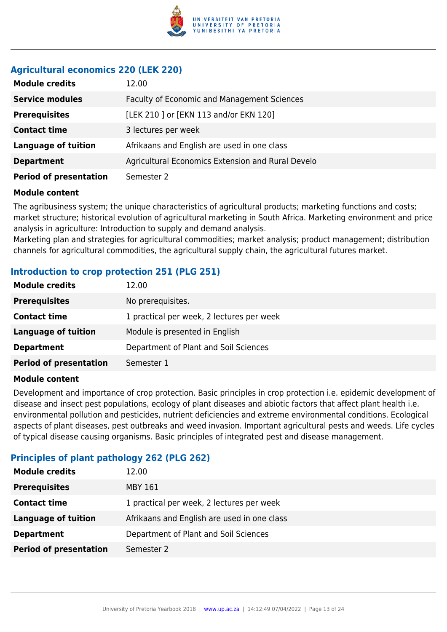

## **Agricultural economics 220 (LEK 220)**

| <b>Module credits</b>         | 12.00                                              |
|-------------------------------|----------------------------------------------------|
| <b>Service modules</b>        | <b>Faculty of Economic and Management Sciences</b> |
| <b>Prerequisites</b>          | [LEK 210 ] or [EKN 113 and/or EKN 120]             |
| <b>Contact time</b>           | 3 lectures per week                                |
| <b>Language of tuition</b>    | Afrikaans and English are used in one class        |
| <b>Department</b>             | Agricultural Economics Extension and Rural Develo  |
| <b>Period of presentation</b> | Semester 2                                         |

#### **Module content**

The agribusiness system; the unique characteristics of agricultural products; marketing functions and costs; market structure; historical evolution of agricultural marketing in South Africa. Marketing environment and price analysis in agriculture: Introduction to supply and demand analysis.

Marketing plan and strategies for agricultural commodities; market analysis; product management; distribution channels for agricultural commodities, the agricultural supply chain, the agricultural futures market.

## **Introduction to crop protection 251 (PLG 251)**

| <b>Module credits</b>         | 12.00                                     |
|-------------------------------|-------------------------------------------|
| <b>Prerequisites</b>          | No prerequisites.                         |
| <b>Contact time</b>           | 1 practical per week, 2 lectures per week |
| <b>Language of tuition</b>    | Module is presented in English            |
| <b>Department</b>             | Department of Plant and Soil Sciences     |
| <b>Period of presentation</b> | Semester 1                                |

#### **Module content**

Development and importance of crop protection. Basic principles in crop protection i.e. epidemic development of disease and insect pest populations, ecology of plant diseases and abiotic factors that affect plant health i.e. environmental pollution and pesticides, nutrient deficiencies and extreme environmental conditions. Ecological aspects of plant diseases, pest outbreaks and weed invasion. Important agricultural pests and weeds. Life cycles of typical disease causing organisms. Basic principles of integrated pest and disease management.

## **Principles of plant pathology 262 (PLG 262)**

| <b>Module credits</b>         | 12.00                                       |
|-------------------------------|---------------------------------------------|
| <b>Prerequisites</b>          | MBY 161                                     |
| <b>Contact time</b>           | 1 practical per week, 2 lectures per week   |
| Language of tuition           | Afrikaans and English are used in one class |
| <b>Department</b>             | Department of Plant and Soil Sciences       |
| <b>Period of presentation</b> | Semester 2                                  |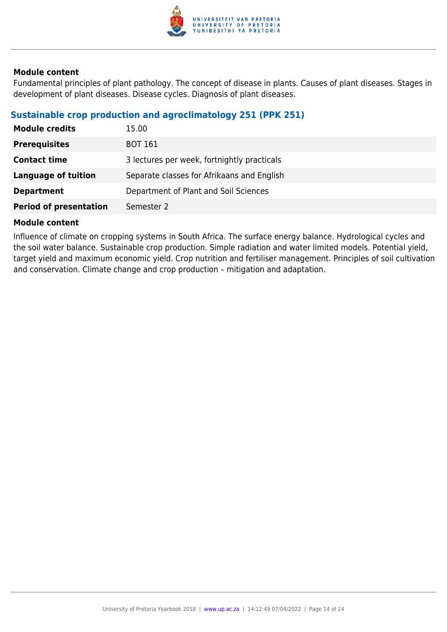

Fundamental principles of plant pathology. The concept of disease in plants. Causes of plant diseases. Stages in development of plant diseases. Disease cycles. Diagnosis of plant diseases.

## **Sustainable crop production and agroclimatology 251 (PPK 251)**

| <b>Module credits</b>         | 15.00                                       |
|-------------------------------|---------------------------------------------|
| <b>Prerequisites</b>          | <b>BOT 161</b>                              |
| <b>Contact time</b>           | 3 lectures per week, fortnightly practicals |
| Language of tuition           | Separate classes for Afrikaans and English  |
| <b>Department</b>             | Department of Plant and Soil Sciences       |
| <b>Period of presentation</b> | Semester 2                                  |

#### **Module content**

Influence of climate on cropping systems in South Africa. The surface energy balance. Hydrological cycles and the soil water balance. Sustainable crop production. Simple radiation and water limited models. Potential yield, target yield and maximum economic yield. Crop nutrition and fertiliser management. Principles of soil cultivation and conservation. Climate change and crop production – mitigation and adaptation.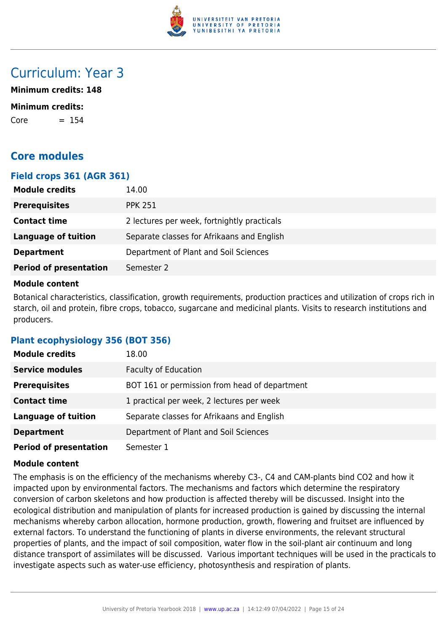

## Curriculum: Year 3

**Minimum credits: 148**

#### **Minimum credits:**

 $Core = 154$ 

## **Core modules**

## **Field crops 361 (AGR 361)**

| <b>Module credits</b>         | 14.00                                       |
|-------------------------------|---------------------------------------------|
| <b>Prerequisites</b>          | <b>PPK 251</b>                              |
| <b>Contact time</b>           | 2 lectures per week, fortnightly practicals |
| <b>Language of tuition</b>    | Separate classes for Afrikaans and English  |
| <b>Department</b>             | Department of Plant and Soil Sciences       |
| <b>Period of presentation</b> | Semester 2                                  |

#### **Module content**

Botanical characteristics, classification, growth requirements, production practices and utilization of crops rich in starch, oil and protein, fibre crops, tobacco, sugarcane and medicinal plants. Visits to research institutions and producers.

## **Plant ecophysiology 356 (BOT 356)**

| <b>Module credits</b>         | 18.00                                         |
|-------------------------------|-----------------------------------------------|
| <b>Service modules</b>        | <b>Faculty of Education</b>                   |
| <b>Prerequisites</b>          | BOT 161 or permission from head of department |
| <b>Contact time</b>           | 1 practical per week, 2 lectures per week     |
| <b>Language of tuition</b>    | Separate classes for Afrikaans and English    |
| <b>Department</b>             | Department of Plant and Soil Sciences         |
| <b>Period of presentation</b> | Semester 1                                    |

#### **Module content**

The emphasis is on the efficiency of the mechanisms whereby C3-, C4 and CAM-plants bind CO2 and how it impacted upon by environmental factors. The mechanisms and factors which determine the respiratory conversion of carbon skeletons and how production is affected thereby will be discussed. Insight into the ecological distribution and manipulation of plants for increased production is gained by discussing the internal mechanisms whereby carbon allocation, hormone production, growth, flowering and fruitset are influenced by external factors. To understand the functioning of plants in diverse environments, the relevant structural properties of plants, and the impact of soil composition, water flow in the soil-plant air continuum and long distance transport of assimilates will be discussed. Various important techniques will be used in the practicals to investigate aspects such as water-use efficiency, photosynthesis and respiration of plants.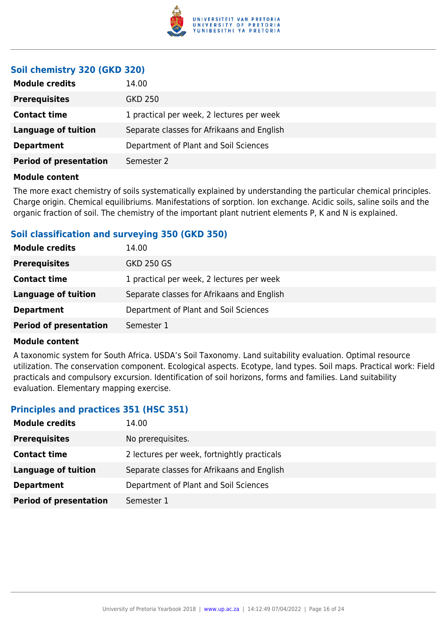

## **Soil chemistry 320 (GKD 320)**

| <b>Module credits</b>         | 14.00                                      |
|-------------------------------|--------------------------------------------|
| <b>Prerequisites</b>          | GKD 250                                    |
| <b>Contact time</b>           | 1 practical per week, 2 lectures per week  |
| Language of tuition           | Separate classes for Afrikaans and English |
| <b>Department</b>             | Department of Plant and Soil Sciences      |
| <b>Period of presentation</b> | Semester 2                                 |
|                               |                                            |

### **Module content**

The more exact chemistry of soils systematically explained by understanding the particular chemical principles. Charge origin. Chemical equilibriums. Manifestations of sorption. Ion exchange. Acidic soils, saline soils and the organic fraction of soil. The chemistry of the important plant nutrient elements P, K and N is explained.

## **Soil classification and surveying 350 (GKD 350)**

| <b>Module credits</b>         | 14.00                                      |
|-------------------------------|--------------------------------------------|
| <b>Prerequisites</b>          | <b>GKD 250 GS</b>                          |
| <b>Contact time</b>           | 1 practical per week, 2 lectures per week  |
| Language of tuition           | Separate classes for Afrikaans and English |
| <b>Department</b>             | Department of Plant and Soil Sciences      |
| <b>Period of presentation</b> | Semester 1                                 |

#### **Module content**

A taxonomic system for South Africa. USDA's Soil Taxonomy. Land suitability evaluation. Optimal resource utilization. The conservation component. Ecological aspects. Ecotype, land types. Soil maps. Practical work: Field practicals and compulsory excursion. Identification of soil horizons, forms and families. Land suitability evaluation. Elementary mapping exercise.

## **Principles and practices 351 (HSC 351)**

| <b>Module credits</b>         | 14.00                                       |
|-------------------------------|---------------------------------------------|
| <b>Prerequisites</b>          | No prerequisites.                           |
| <b>Contact time</b>           | 2 lectures per week, fortnightly practicals |
| <b>Language of tuition</b>    | Separate classes for Afrikaans and English  |
| <b>Department</b>             | Department of Plant and Soil Sciences       |
| <b>Period of presentation</b> | Semester 1                                  |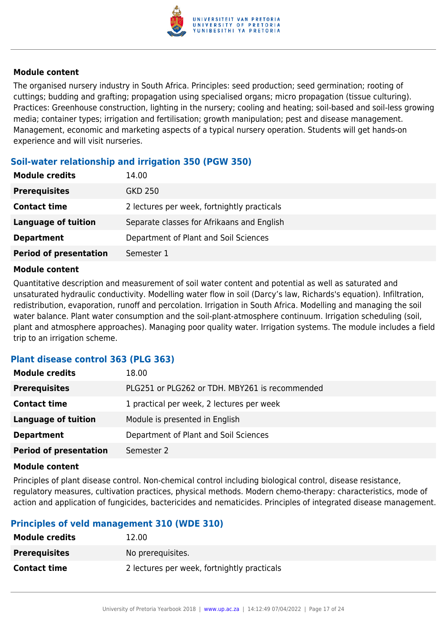

The organised nursery industry in South Africa. Principles: seed production; seed germination; rooting of cuttings; budding and grafting; propagation using specialised organs; micro propagation (tissue culturing). Practices: Greenhouse construction, lighting in the nursery; cooling and heating; soil-based and soil-less growing media; container types; irrigation and fertilisation; growth manipulation; pest and disease management. Management, economic and marketing aspects of a typical nursery operation. Students will get hands-on experience and will visit nurseries.

## **Soil-water relationship and irrigation 350 (PGW 350)**

| <b>Module credits</b>         | 14.00                                       |
|-------------------------------|---------------------------------------------|
| <b>Prerequisites</b>          | GKD 250                                     |
| <b>Contact time</b>           | 2 lectures per week, fortnightly practicals |
| <b>Language of tuition</b>    | Separate classes for Afrikaans and English  |
| <b>Department</b>             | Department of Plant and Soil Sciences       |
| <b>Period of presentation</b> | Semester 1                                  |

#### **Module content**

Quantitative description and measurement of soil water content and potential as well as saturated and unsaturated hydraulic conductivity. Modelling water flow in soil (Darcy's law, Richards's equation). Infiltration, redistribution, evaporation, runoff and percolation. Irrigation in South Africa. Modelling and managing the soil water balance. Plant water consumption and the soil-plant-atmosphere continuum. Irrigation scheduling (soil, plant and atmosphere approaches). Managing poor quality water. Irrigation systems. The module includes a field trip to an irrigation scheme.

## **Plant disease control 363 (PLG 363)**

| <b>Module credits</b>         | 18.00                                          |
|-------------------------------|------------------------------------------------|
| <b>Prerequisites</b>          | PLG251 or PLG262 or TDH. MBY261 is recommended |
| <b>Contact time</b>           | 1 practical per week, 2 lectures per week      |
| <b>Language of tuition</b>    | Module is presented in English                 |
| <b>Department</b>             | Department of Plant and Soil Sciences          |
| <b>Period of presentation</b> | Semester 2                                     |

#### **Module content**

Principles of plant disease control. Non-chemical control including biological control, disease resistance, regulatory measures, cultivation practices, physical methods. Modern chemo-therapy: characteristics, mode of action and application of fungicides, bactericides and nematicides. Principles of integrated disease management.

## **Principles of veld management 310 (WDE 310)**

| <b>Module credits</b> | 12.00                                       |
|-----------------------|---------------------------------------------|
| <b>Prerequisites</b>  | No prerequisites.                           |
| <b>Contact time</b>   | 2 lectures per week, fortnightly practicals |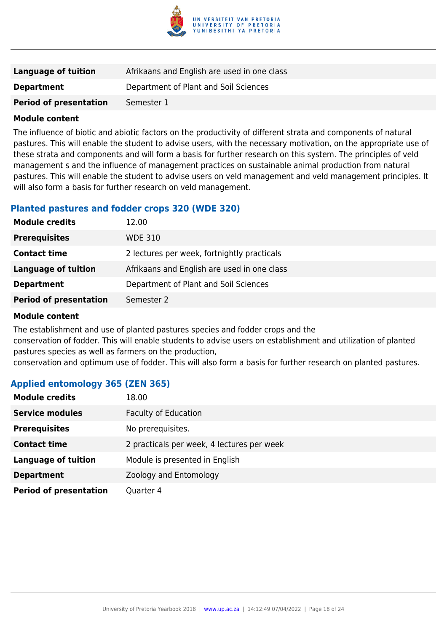

| Language of tuition           | Afrikaans and English are used in one class |
|-------------------------------|---------------------------------------------|
| <b>Department</b>             | Department of Plant and Soil Sciences       |
| <b>Period of presentation</b> | Semester 1                                  |

The influence of biotic and abiotic factors on the productivity of different strata and components of natural pastures. This will enable the student to advise users, with the necessary motivation, on the appropriate use of these strata and components and will form a basis for further research on this system. The principles of veld management s and the influence of management practices on sustainable animal production from natural pastures. This will enable the student to advise users on veld management and veld management principles. It will also form a basis for further research on veld management.

## **Planted pastures and fodder crops 320 (WDE 320)**

| <b>Module credits</b>         | 12.00                                       |
|-------------------------------|---------------------------------------------|
| <b>Prerequisites</b>          | <b>WDE 310</b>                              |
| <b>Contact time</b>           | 2 lectures per week, fortnightly practicals |
| Language of tuition           | Afrikaans and English are used in one class |
| <b>Department</b>             | Department of Plant and Soil Sciences       |
| <b>Period of presentation</b> | Semester 2                                  |

#### **Module content**

The establishment and use of planted pastures species and fodder crops and the conservation of fodder. This will enable students to advise users on establishment and utilization of planted pastures species as well as farmers on the production, conservation and optimum use of fodder. This will also form a basis for further research on planted pastures.

## **Applied entomology 365 (ZEN 365)**

| <b>Module credits</b>         | 18.00                                      |
|-------------------------------|--------------------------------------------|
| <b>Service modules</b>        | <b>Faculty of Education</b>                |
| <b>Prerequisites</b>          | No prerequisites.                          |
| <b>Contact time</b>           | 2 practicals per week, 4 lectures per week |
| <b>Language of tuition</b>    | Module is presented in English             |
| <b>Department</b>             | Zoology and Entomology                     |
| <b>Period of presentation</b> | Quarter 4                                  |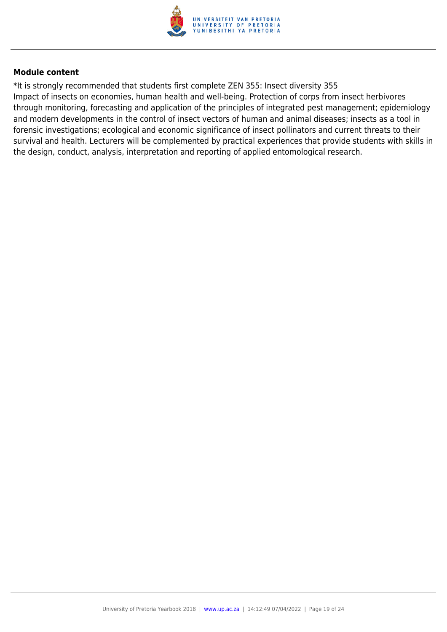

\*It is strongly recommended that students first complete ZEN 355: Insect diversity 355 Impact of insects on economies, human health and well-being. Protection of corps from insect herbivores through monitoring, forecasting and application of the principles of integrated pest management; epidemiology and modern developments in the control of insect vectors of human and animal diseases; insects as a tool in forensic investigations; ecological and economic significance of insect pollinators and current threats to their survival and health. Lecturers will be complemented by practical experiences that provide students with skills in the design, conduct, analysis, interpretation and reporting of applied entomological research.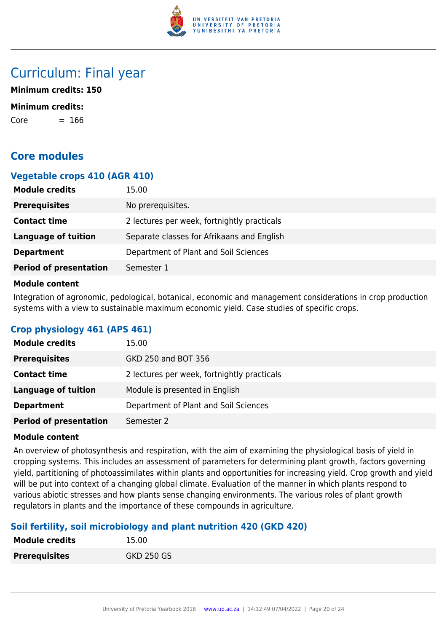

## Curriculum: Final year

**Minimum credits: 150**

#### **Minimum credits:**

 $Core = 166$ 

## **Core modules**

## **Vegetable crops 410 (AGR 410)**

| <b>Module credits</b>         | 15.00                                       |
|-------------------------------|---------------------------------------------|
| <b>Prerequisites</b>          | No prerequisites.                           |
| <b>Contact time</b>           | 2 lectures per week, fortnightly practicals |
| <b>Language of tuition</b>    | Separate classes for Afrikaans and English  |
| <b>Department</b>             | Department of Plant and Soil Sciences       |
| <b>Period of presentation</b> | Semester 1                                  |

#### **Module content**

Integration of agronomic, pedological, botanical, economic and management considerations in crop production systems with a view to sustainable maximum economic yield. Case studies of specific crops.

## **Crop physiology 461 (APS 461)**

| <b>Module credits</b>         | 15.00                                       |
|-------------------------------|---------------------------------------------|
| <b>Prerequisites</b>          | GKD 250 and BOT 356                         |
| <b>Contact time</b>           | 2 lectures per week, fortnightly practicals |
| <b>Language of tuition</b>    | Module is presented in English              |
| <b>Department</b>             | Department of Plant and Soil Sciences       |
| <b>Period of presentation</b> | Semester 2                                  |

#### **Module content**

An overview of photosynthesis and respiration, with the aim of examining the physiological basis of yield in cropping systems. This includes an assessment of parameters for determining plant growth, factors governing yield, partitioning of photoassimilates within plants and opportunities for increasing yield. Crop growth and yield will be put into context of a changing global climate. Evaluation of the manner in which plants respond to various abiotic stresses and how plants sense changing environments. The various roles of plant growth regulators in plants and the importance of these compounds in agriculture.

## **Soil fertility, soil microbiology and plant nutrition 420 (GKD 420)**

| <b>Module credits</b> | 15.00             |
|-----------------------|-------------------|
| <b>Prerequisites</b>  | <b>GKD 250 GS</b> |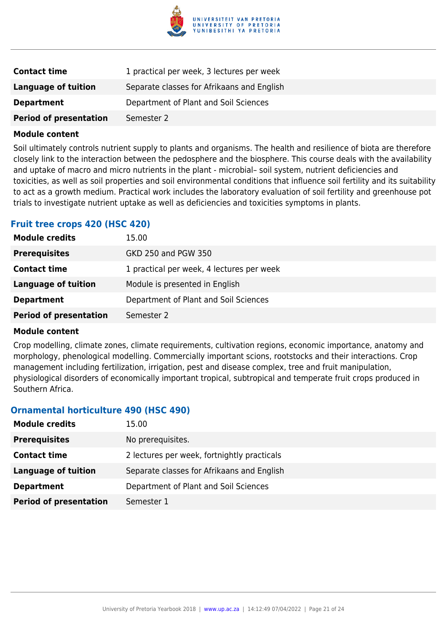

| <b>Contact time</b>           | 1 practical per week, 3 lectures per week  |
|-------------------------------|--------------------------------------------|
| <b>Language of tuition</b>    | Separate classes for Afrikaans and English |
| <b>Department</b>             | Department of Plant and Soil Sciences      |
| <b>Period of presentation</b> | Semester 2                                 |

Soil ultimately controls nutrient supply to plants and organisms. The health and resilience of biota are therefore closely link to the interaction between the pedosphere and the biosphere. This course deals with the availability and uptake of macro and micro nutrients in the plant - microbial– soil system, nutrient deficiencies and toxicities, as well as soil properties and soil environmental conditions that influence soil fertility and its suitability to act as a growth medium. Practical work includes the laboratory evaluation of soil fertility and greenhouse pot trials to investigate nutrient uptake as well as deficiencies and toxicities symptoms in plants.

## **Fruit tree crops 420 (HSC 420)**

| <b>Module credits</b>         | 15.00                                     |
|-------------------------------|-------------------------------------------|
| <b>Prerequisites</b>          | GKD 250 and PGW 350                       |
| <b>Contact time</b>           | 1 practical per week, 4 lectures per week |
| <b>Language of tuition</b>    | Module is presented in English            |
| <b>Department</b>             | Department of Plant and Soil Sciences     |
| <b>Period of presentation</b> | Semester 2                                |

#### **Module content**

Crop modelling, climate zones, climate requirements, cultivation regions, economic importance, anatomy and morphology, phenological modelling. Commercially important scions, rootstocks and their interactions. Crop management including fertilization, irrigation, pest and disease complex, tree and fruit manipulation, physiological disorders of economically important tropical, subtropical and temperate fruit crops produced in Southern Africa.

## **Ornamental horticulture 490 (HSC 490)**

| <b>Module credits</b>         | 15.00                                       |
|-------------------------------|---------------------------------------------|
| <b>Prerequisites</b>          | No prerequisites.                           |
| <b>Contact time</b>           | 2 lectures per week, fortnightly practicals |
| <b>Language of tuition</b>    | Separate classes for Afrikaans and English  |
| <b>Department</b>             | Department of Plant and Soil Sciences       |
| <b>Period of presentation</b> | Semester 1                                  |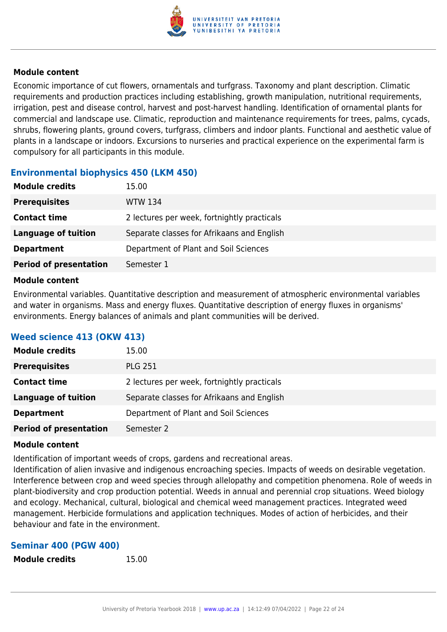

Economic importance of cut flowers, ornamentals and turfgrass. Taxonomy and plant description. Climatic requirements and production practices including establishing, growth manipulation, nutritional requirements, irrigation, pest and disease control, harvest and post-harvest handling. Identification of ornamental plants for commercial and landscape use. Climatic, reproduction and maintenance requirements for trees, palms, cycads, shrubs, flowering plants, ground covers, turfgrass, climbers and indoor plants. Functional and aesthetic value of plants in a landscape or indoors. Excursions to nurseries and practical experience on the experimental farm is compulsory for all participants in this module.

## **Environmental biophysics 450 (LKM 450)**

| <b>Prerequisites</b><br><b>WTW 134</b><br>2 lectures per week, fortnightly practicals<br><b>Contact time</b><br><b>Language of tuition</b><br>Separate classes for Afrikaans and English<br>Department of Plant and Soil Sciences<br><b>Department</b> | <b>Module credits</b> | 15.00 |
|--------------------------------------------------------------------------------------------------------------------------------------------------------------------------------------------------------------------------------------------------------|-----------------------|-------|
|                                                                                                                                                                                                                                                        |                       |       |
|                                                                                                                                                                                                                                                        |                       |       |
|                                                                                                                                                                                                                                                        |                       |       |
|                                                                                                                                                                                                                                                        |                       |       |
| <b>Period of presentation</b><br>Semester 1                                                                                                                                                                                                            |                       |       |

#### **Module content**

Environmental variables. Quantitative description and measurement of atmospheric environmental variables and water in organisms. Mass and energy fluxes. Quantitative description of energy fluxes in organisms' environments. Energy balances of animals and plant communities will be derived.

## **Weed science 413 (OKW 413)**

| <b>Module credits</b>         | 15.00                                       |
|-------------------------------|---------------------------------------------|
| <b>Prerequisites</b>          | <b>PLG 251</b>                              |
| <b>Contact time</b>           | 2 lectures per week, fortnightly practicals |
| <b>Language of tuition</b>    | Separate classes for Afrikaans and English  |
| <b>Department</b>             | Department of Plant and Soil Sciences       |
| <b>Period of presentation</b> | Semester 2                                  |

## **Module content**

Identification of important weeds of crops, gardens and recreational areas.

Identification of alien invasive and indigenous encroaching species. Impacts of weeds on desirable vegetation. Interference between crop and weed species through allelopathy and competition phenomena. Role of weeds in plant-biodiversity and crop production potential. Weeds in annual and perennial crop situations. Weed biology and ecology. Mechanical, cultural, biological and chemical weed management practices. Integrated weed management. Herbicide formulations and application techniques. Modes of action of herbicides, and their behaviour and fate in the environment.

## **Seminar 400 (PGW 400)**

**Module credits** 15.00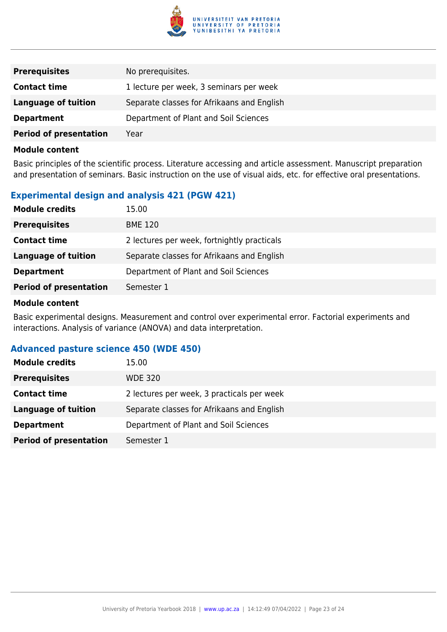

| <b>Prerequisites</b>          | No prerequisites.                          |
|-------------------------------|--------------------------------------------|
| <b>Contact time</b>           | 1 lecture per week, 3 seminars per week    |
| Language of tuition           | Separate classes for Afrikaans and English |
| <b>Department</b>             | Department of Plant and Soil Sciences      |
| <b>Period of presentation</b> | Year                                       |

Basic principles of the scientific process. Literature accessing and article assessment. Manuscript preparation and presentation of seminars. Basic instruction on the use of visual aids, etc. for effective oral presentations.

## **Experimental design and analysis 421 (PGW 421)**

| <b>Module credits</b>         | 15.00                                       |
|-------------------------------|---------------------------------------------|
| <b>Prerequisites</b>          | <b>BME 120</b>                              |
| <b>Contact time</b>           | 2 lectures per week, fortnightly practicals |
| <b>Language of tuition</b>    | Separate classes for Afrikaans and English  |
| <b>Department</b>             | Department of Plant and Soil Sciences       |
| <b>Period of presentation</b> | Semester 1                                  |

#### **Module content**

Basic experimental designs. Measurement and control over experimental error. Factorial experiments and interactions. Analysis of variance (ANOVA) and data interpretation.

## **Advanced pasture science 450 (WDE 450)**

| <b>Module credits</b>         | 15.00                                      |
|-------------------------------|--------------------------------------------|
| <b>Prerequisites</b>          | <b>WDE 320</b>                             |
| <b>Contact time</b>           | 2 lectures per week, 3 practicals per week |
| <b>Language of tuition</b>    | Separate classes for Afrikaans and English |
| <b>Department</b>             | Department of Plant and Soil Sciences      |
| <b>Period of presentation</b> | Semester 1                                 |